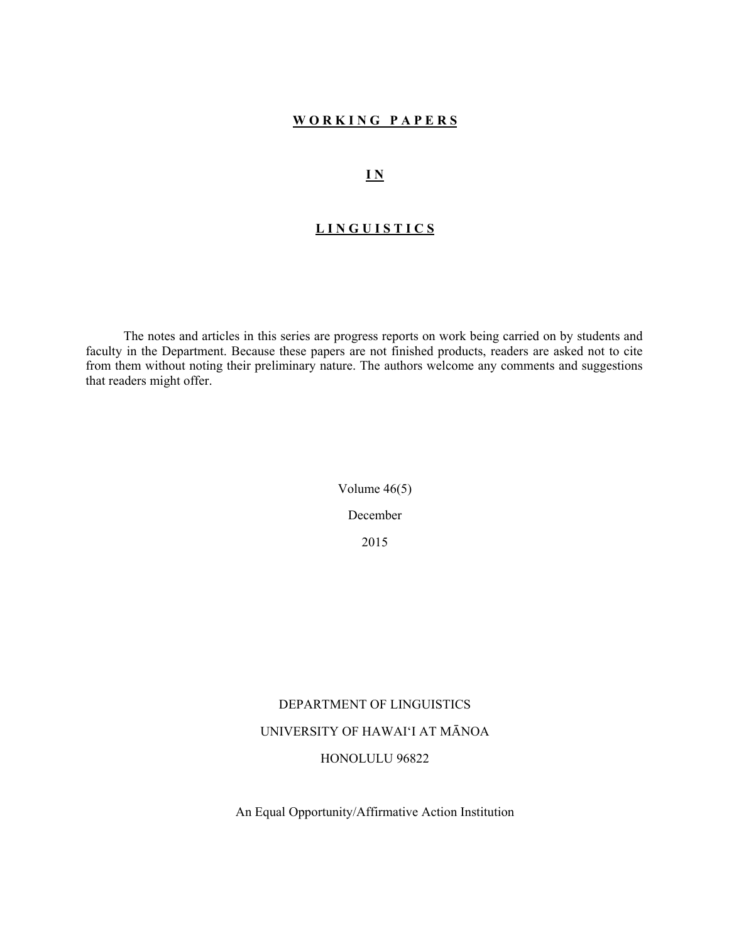#### **W O R K I N G P A P E R S**

### **I N**

# **L I N G U I S T I C S**

 The notes and articles in this series are progress reports on work being carried on by students and faculty in the Department. Because these papers are not finished products, readers are asked not to cite from them without noting their preliminary nature. The authors welcome any comments and suggestions that readers might offer.

> Volume 46(5) December 2015

# DEPARTMENT OF LINGUISTICS

# UNIVERSITY OF HAWAI'I AT MĀNOA

#### HONOLULU 96822

An Equal Opportunity/Affirmative Action Institution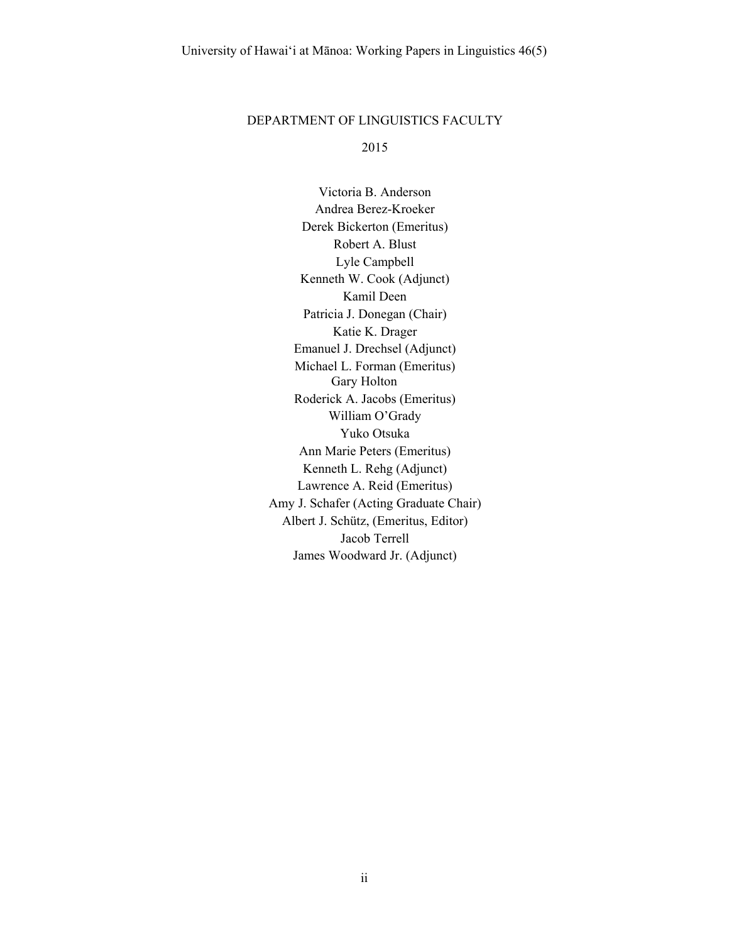#### DEPARTMENT OF LINGUISTICS FACULTY

2015

Victoria B. Anderson Andrea Berez-Kroeker Derek Bickerton (Emeritus) Robert A. Blust Lyle Campbell Kenneth W. Cook (Adjunct) Kamil Deen Patricia J. Donegan (Chair) Katie K. Drager Emanuel J. Drechsel (Adjunct) Michael L. Forman (Emeritus) Gary Holton Roderick A. Jacobs (Emeritus) William O'Grady Yuko Otsuka Ann Marie Peters (Emeritus) Kenneth L. Rehg (Adjunct) Lawrence A. Reid (Emeritus) Amy J. Schafer (Acting Graduate Chair) Albert J. Schütz, (Emeritus, Editor) Jacob Terrell James Woodward Jr. (Adjunct)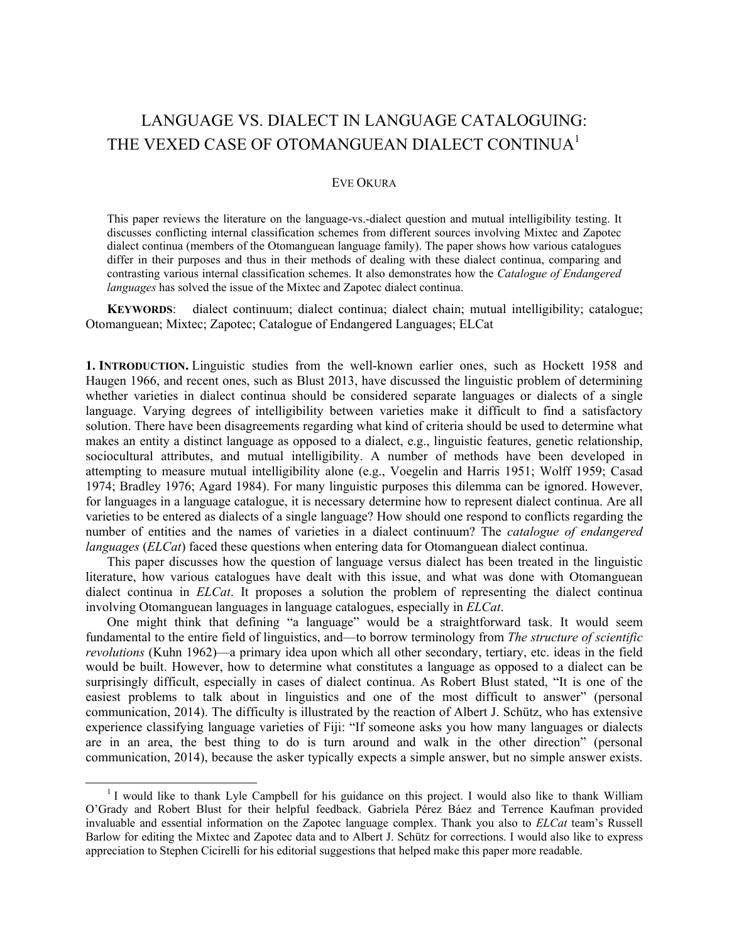# LANGUAGE VS. DIALECT IN LANGUAGE CATALOGUING: THE VEXED CASE OF OTOMANGUEAN DIALECT CONTINUA<sup>1</sup>

#### EVE OKURA

This paper reviews the literature on the language-vs.-dialect question and mutual intelligibility testing. It discusses conflicting internal classification schemes from different sources involving Mixtec and Zapotec dialect continua (members of the Otomanguean language family). The paper shows how various catalogues differ in their purposes and thus in their methods of dealing with these dialect continua, comparing and contrasting various internal classification schemes. It also demonstrates how the *Catalogue of Endangered languages* has solved the issue of the Mixtec and Zapotec dialect continua.

**KEYWORDS**: dialect continuum; dialect continua; dialect chain; mutual intelligibility; catalogue; Otomanguean; Mixtec; Zapotec; Catalogue of Endangered Languages; ELCat

**1. INTRODUCTION.** Linguistic studies from the well-known earlier ones, such as Hockett 1958 and Haugen 1966, and recent ones, such as Blust 2013, have discussed the linguistic problem of determining whether varieties in dialect continua should be considered separate languages or dialects of a single language. Varying degrees of intelligibility between varieties make it difficult to find a satisfactory solution. There have been disagreements regarding what kind of criteria should be used to determine what makes an entity a distinct language as opposed to a dialect, e.g., linguistic features, genetic relationship, sociocultural attributes, and mutual intelligibility. A number of methods have been developed in attempting to measure mutual intelligibility alone (e.g., Voegelin and Harris 1951; Wolff 1959; Casad 1974; Bradley 1976; Agard 1984). For many linguistic purposes this dilemma can be ignored. However, for languages in a language catalogue, it is necessary determine how to represent dialect continua. Are all varieties to be entered as dialects of a single language? How should one respond to conflicts regarding the number of entities and the names of varieties in a dialect continuum? The *catalogue of endangered languages* (*ELCat*) faced these questions when entering data for Otomanguean dialect continua.

This paper discusses how the question of language versus dialect has been treated in the linguistic literature, how various catalogues have dealt with this issue, and what was done with Otomanguean dialect continua in *ELCat*. It proposes a solution the problem of representing the dialect continua involving Otomanguean languages in language catalogues, especially in *ELCat*.

One might think that defining "a language" would be a straightforward task. It would seem fundamental to the entire field of linguistics, and—to borrow terminology from *The structure of scientific revolutions* (Kuhn 1962)—a primary idea upon which all other secondary, tertiary, etc. ideas in the field would be built. However, how to determine what constitutes a language as opposed to a dialect can be surprisingly difficult, especially in cases of dialect continua. As Robert Blust stated, "It is one of the easiest problems to talk about in linguistics and one of the most difficult to answer" (personal communication, 2014). The difficulty is illustrated by the reaction of Albert J. Schütz, who has extensive experience classifying language varieties of Fiji: "If someone asks you how many languages or dialects are in an area, the best thing to do is turn around and walk in the other direction" (personal communication, 2014), because the asker typically expects a simple answer, but no simple answer exists.

 <sup>1</sup> <sup>1</sup> I would like to thank Lyle Campbell for his guidance on this project. I would also like to thank William O'Grady and Robert Blust for their helpful feedback. Gabriela Pérez Báez and Terrence Kaufman provided invaluable and essential information on the Zapotec language complex. Thank you also to *ELCat* team's Russell Barlow for editing the Mixtec and Zapotec data and to Albert J. Schütz for corrections. I would also like to express appreciation to Stephen Cicirelli for his editorial suggestions that helped make this paper more readable.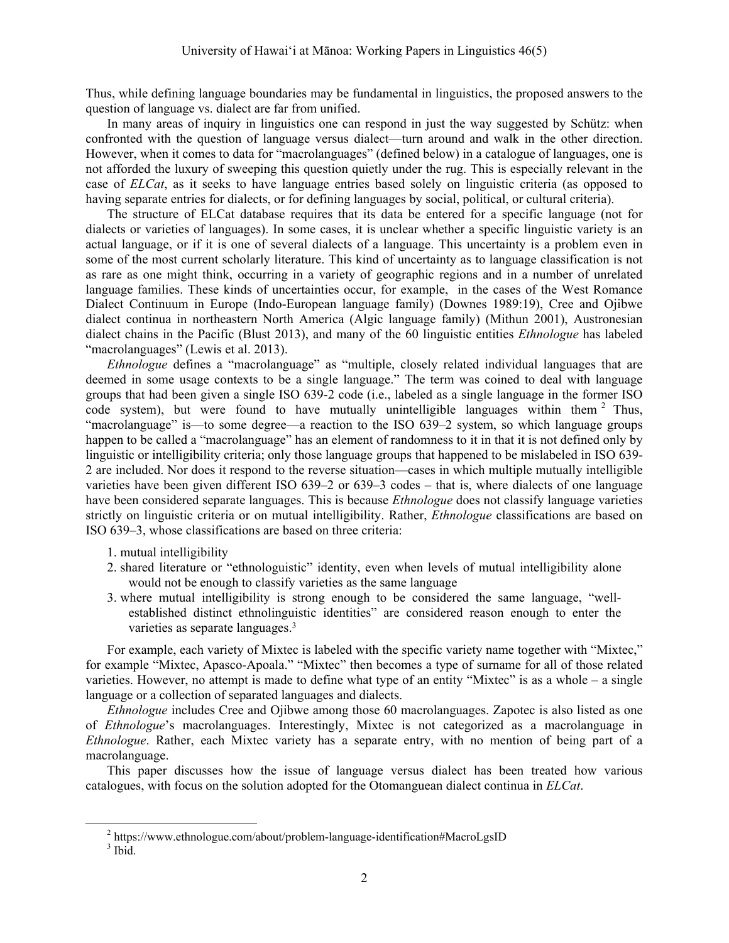Thus, while defining language boundaries may be fundamental in linguistics, the proposed answers to the question of language vs. dialect are far from unified.

In many areas of inquiry in linguistics one can respond in just the way suggested by Schütz: when confronted with the question of language versus dialect—turn around and walk in the other direction. However, when it comes to data for "macrolanguages" (defined below) in a catalogue of languages, one is not afforded the luxury of sweeping this question quietly under the rug. This is especially relevant in the case of *ELCat*, as it seeks to have language entries based solely on linguistic criteria (as opposed to having separate entries for dialects, or for defining languages by social, political, or cultural criteria).

The structure of ELCat database requires that its data be entered for a specific language (not for dialects or varieties of languages). In some cases, it is unclear whether a specific linguistic variety is an actual language, or if it is one of several dialects of a language. This uncertainty is a problem even in some of the most current scholarly literature. This kind of uncertainty as to language classification is not as rare as one might think, occurring in a variety of geographic regions and in a number of unrelated language families. These kinds of uncertainties occur, for example, in the cases of the West Romance Dialect Continuum in Europe (Indo-European language family) (Downes 1989:19), Cree and Ojibwe dialect continua in northeastern North America (Algic language family) (Mithun 2001), Austronesian dialect chains in the Pacific (Blust 2013), and many of the 60 linguistic entities *Ethnologue* has labeled "macrolanguages" (Lewis et al. 2013).

*Ethnologue* defines a "macrolanguage" as "multiple, closely related individual languages that are deemed in some usage contexts to be a single language." The term was coined to deal with language groups that had been given a single ISO 639-2 code (i.e., labeled as a single language in the former ISO code system), but were found to have mutually unintelligible languages within them  $2$  Thus, "macrolanguage" is—to some degree—a reaction to the ISO 639–2 system, so which language groups happen to be called a "macrolanguage" has an element of randomness to it in that it is not defined only by linguistic or intelligibility criteria; only those language groups that happened to be mislabeled in ISO 639- 2 are included. Nor does it respond to the reverse situation—cases in which multiple mutually intelligible varieties have been given different ISO 639–2 or 639–3 codes – that is, where dialects of one language have been considered separate languages. This is because *Ethnologue* does not classify language varieties strictly on linguistic criteria or on mutual intelligibility. Rather, *Ethnologue* classifications are based on ISO 639–3, whose classifications are based on three criteria:

- 1. mutual intelligibility
- 2. shared literature or "ethnologuistic" identity, even when levels of mutual intelligibility alone would not be enough to classify varieties as the same language
- 3. where mutual intelligibility is strong enough to be considered the same language, "wellestablished distinct ethnolinguistic identities" are considered reason enough to enter the varieties as separate languages.3

For example, each variety of Mixtec is labeled with the specific variety name together with "Mixtec," for example "Mixtec, Apasco-Apoala." "Mixtec" then becomes a type of surname for all of those related varieties. However, no attempt is made to define what type of an entity "Mixtec" is as a whole – a single language or a collection of separated languages and dialects.

*Ethnologue* includes Cree and Ojibwe among those 60 macrolanguages. Zapotec is also listed as one of *Ethnologue*'s macrolanguages. Interestingly, Mixtec is not categorized as a macrolanguage in *Ethnologue*. Rather, each Mixtec variety has a separate entry, with no mention of being part of a macrolanguage.

This paper discusses how the issue of language versus dialect has been treated how various catalogues, with focus on the solution adopted for the Otomanguean dialect continua in *ELCat*.

 $\frac{1}{2}$  $h<sup>2</sup>$  https://www.ethnologue.com/about/problem-language-identification#MacroLgsID

 $3$  Ibid.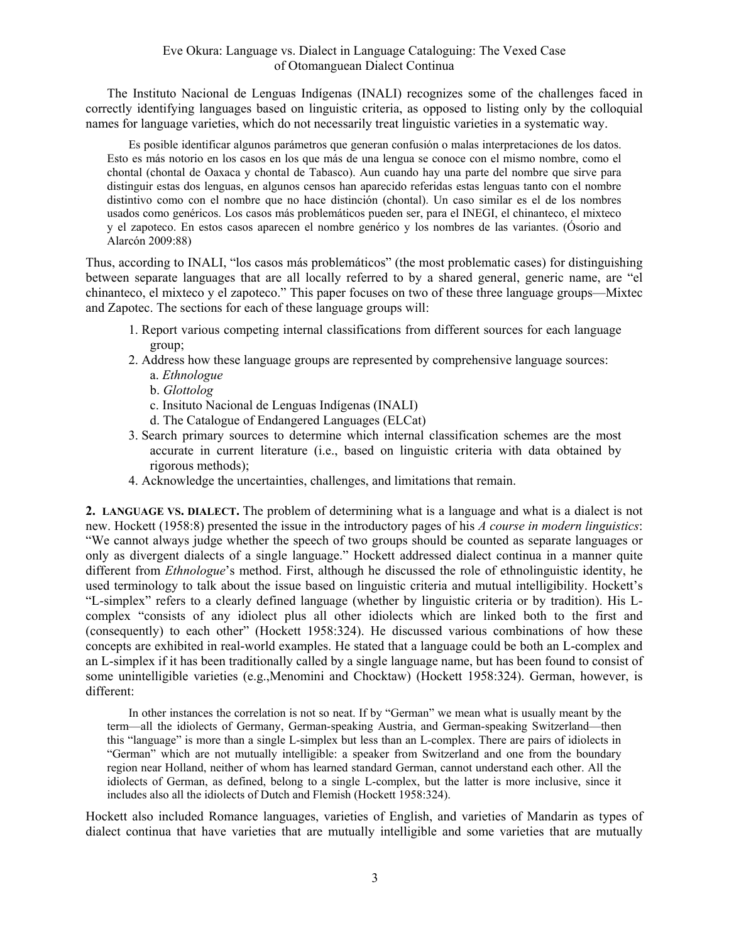The Instituto Nacional de Lenguas Indígenas (INALI) recognizes some of the challenges faced in correctly identifying languages based on linguistic criteria, as opposed to listing only by the colloquial names for language varieties, which do not necessarily treat linguistic varieties in a systematic way.

Es posible identificar algunos parámetros que generan confusión o malas interpretaciones de los datos. Esto es más notorio en los casos en los que más de una lengua se conoce con el mismo nombre, como el chontal (chontal de Oaxaca y chontal de Tabasco). Aun cuando hay una parte del nombre que sirve para distinguir estas dos lenguas, en algunos censos han aparecido referidas estas lenguas tanto con el nombre distintivo como con el nombre que no hace distinción (chontal). Un caso similar es el de los nombres usados como genéricos. Los casos más problemáticos pueden ser, para el INEGI, el chinanteco, el mixteco y el zapoteco. En estos casos aparecen el nombre genérico y los nombres de las variantes. (Ósorio and Alarcón 2009:88)

Thus, according to INALI, "los casos más problemáticos" (the most problematic cases) for distinguishing between separate languages that are all locally referred to by a shared general, generic name, are "el chinanteco, el mixteco y el zapoteco." This paper focuses on two of these three language groups—Mixtec and Zapotec. The sections for each of these language groups will:

- 1. Report various competing internal classifications from different sources for each language group;
- 2. Address how these language groups are represented by comprehensive language sources:
	- a. *Ethnologue*
	- b. *Glottolog*
	- c. Insituto Nacional de Lenguas Indígenas (INALI)
	- d. The Catalogue of Endangered Languages (ELCat)
- 3. Search primary sources to determine which internal classification schemes are the most accurate in current literature (i.e., based on linguistic criteria with data obtained by rigorous methods);
- 4. Acknowledge the uncertainties, challenges, and limitations that remain.

**2. LANGUAGE VS. DIALECT.** The problem of determining what is a language and what is a dialect is not new. Hockett (1958:8) presented the issue in the introductory pages of his *A course in modern linguistics*: "We cannot always judge whether the speech of two groups should be counted as separate languages or only as divergent dialects of a single language." Hockett addressed dialect continua in a manner quite different from *Ethnologue*'s method. First, although he discussed the role of ethnolinguistic identity, he used terminology to talk about the issue based on linguistic criteria and mutual intelligibility. Hockett's "L-simplex" refers to a clearly defined language (whether by linguistic criteria or by tradition). His Lcomplex "consists of any idiolect plus all other idiolects which are linked both to the first and (consequently) to each other" (Hockett 1958:324). He discussed various combinations of how these concepts are exhibited in real-world examples. He stated that a language could be both an L-complex and an L-simplex if it has been traditionally called by a single language name, but has been found to consist of some unintelligible varieties (e.g.,Menomini and Chocktaw) (Hockett 1958:324). German, however, is different:

In other instances the correlation is not so neat. If by "German" we mean what is usually meant by the term—all the idiolects of Germany, German-speaking Austria, and German-speaking Switzerland—then this "language" is more than a single L-simplex but less than an L-complex. There are pairs of idiolects in "German" which are not mutually intelligible: a speaker from Switzerland and one from the boundary region near Holland, neither of whom has learned standard German, cannot understand each other. All the idiolects of German, as defined, belong to a single L-complex, but the latter is more inclusive, since it includes also all the idiolects of Dutch and Flemish (Hockett 1958:324).

Hockett also included Romance languages, varieties of English, and varieties of Mandarin as types of dialect continua that have varieties that are mutually intelligible and some varieties that are mutually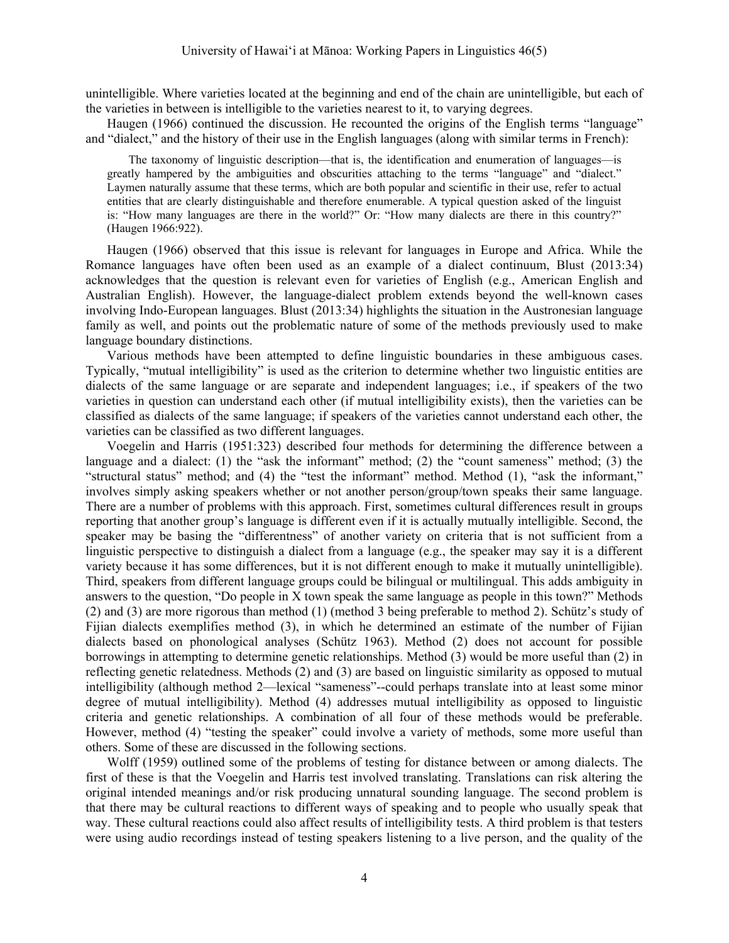unintelligible. Where varieties located at the beginning and end of the chain are unintelligible, but each of the varieties in between is intelligible to the varieties nearest to it, to varying degrees.

Haugen (1966) continued the discussion. He recounted the origins of the English terms "language" and "dialect," and the history of their use in the English languages (along with similar terms in French):

The taxonomy of linguistic description—that is, the identification and enumeration of languages—is greatly hampered by the ambiguities and obscurities attaching to the terms "language" and "dialect." Laymen naturally assume that these terms, which are both popular and scientific in their use, refer to actual entities that are clearly distinguishable and therefore enumerable. A typical question asked of the linguist is: "How many languages are there in the world?" Or: "How many dialects are there in this country?" (Haugen 1966:922).

Haugen (1966) observed that this issue is relevant for languages in Europe and Africa. While the Romance languages have often been used as an example of a dialect continuum, Blust (2013:34) acknowledges that the question is relevant even for varieties of English (e.g., American English and Australian English). However, the language-dialect problem extends beyond the well-known cases involving Indo-European languages. Blust (2013:34) highlights the situation in the Austronesian language family as well, and points out the problematic nature of some of the methods previously used to make language boundary distinctions.

Various methods have been attempted to define linguistic boundaries in these ambiguous cases. Typically, "mutual intelligibility" is used as the criterion to determine whether two linguistic entities are dialects of the same language or are separate and independent languages; i.e., if speakers of the two varieties in question can understand each other (if mutual intelligibility exists), then the varieties can be classified as dialects of the same language; if speakers of the varieties cannot understand each other, the varieties can be classified as two different languages.

Voegelin and Harris (1951:323) described four methods for determining the difference between a language and a dialect: (1) the "ask the informant" method; (2) the "count sameness" method; (3) the "structural status" method; and (4) the "test the informant" method. Method (1), "ask the informant," involves simply asking speakers whether or not another person/group/town speaks their same language. There are a number of problems with this approach. First, sometimes cultural differences result in groups reporting that another group's language is different even if it is actually mutually intelligible. Second, the speaker may be basing the "differentness" of another variety on criteria that is not sufficient from a linguistic perspective to distinguish a dialect from a language (e.g., the speaker may say it is a different variety because it has some differences, but it is not different enough to make it mutually unintelligible). Third, speakers from different language groups could be bilingual or multilingual. This adds ambiguity in answers to the question, "Do people in X town speak the same language as people in this town?" Methods (2) and (3) are more rigorous than method (1) (method 3 being preferable to method 2). Schütz's study of Fijian dialects exemplifies method (3), in which he determined an estimate of the number of Fijian dialects based on phonological analyses (Schütz 1963). Method (2) does not account for possible borrowings in attempting to determine genetic relationships. Method (3) would be more useful than (2) in reflecting genetic relatedness. Methods (2) and (3) are based on linguistic similarity as opposed to mutual intelligibility (although method 2—lexical "sameness"--could perhaps translate into at least some minor degree of mutual intelligibility). Method (4) addresses mutual intelligibility as opposed to linguistic criteria and genetic relationships. A combination of all four of these methods would be preferable. However, method (4) "testing the speaker" could involve a variety of methods, some more useful than others. Some of these are discussed in the following sections.

Wolff (1959) outlined some of the problems of testing for distance between or among dialects. The first of these is that the Voegelin and Harris test involved translating. Translations can risk altering the original intended meanings and/or risk producing unnatural sounding language. The second problem is that there may be cultural reactions to different ways of speaking and to people who usually speak that way. These cultural reactions could also affect results of intelligibility tests. A third problem is that testers were using audio recordings instead of testing speakers listening to a live person, and the quality of the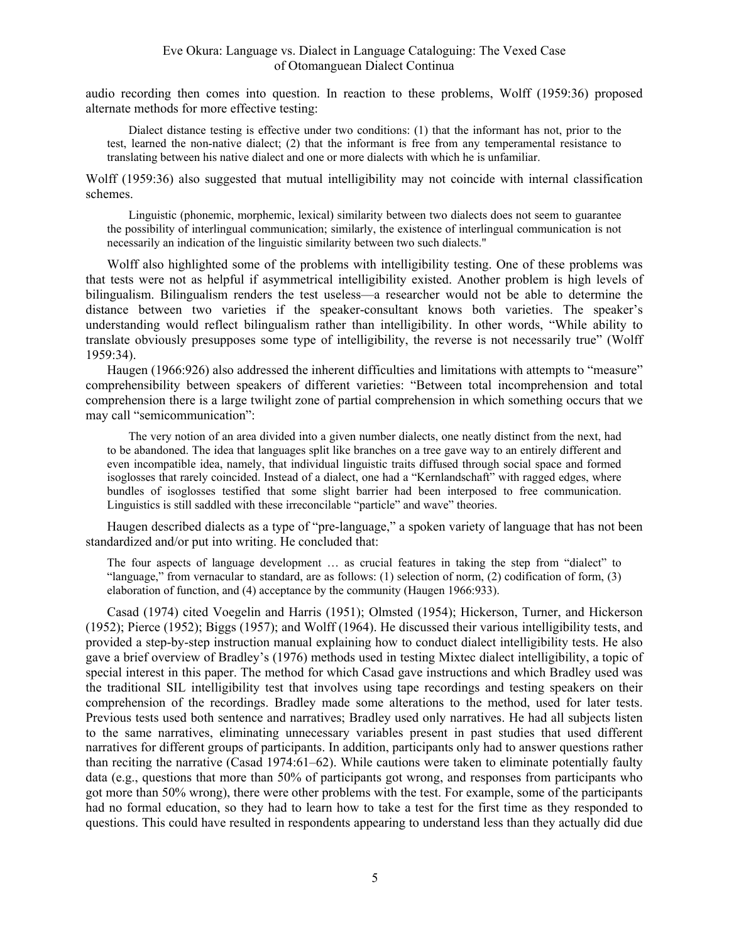audio recording then comes into question. In reaction to these problems, Wolff (1959:36) proposed alternate methods for more effective testing:

Dialect distance testing is effective under two conditions: (1) that the informant has not, prior to the test, learned the non-native dialect; (2) that the informant is free from any temperamental resistance to translating between his native dialect and one or more dialects with which he is unfamiliar.

Wolff (1959:36) also suggested that mutual intelligibility may not coincide with internal classification schemes.

Linguistic (phonemic, morphemic, lexical) similarity between two dialects does not seem to guarantee the possibility of interlingual communication; similarly, the existence of interlingual communication is not necessarily an indication of the linguistic similarity between two such dialects."

Wolff also highlighted some of the problems with intelligibility testing. One of these problems was that tests were not as helpful if asymmetrical intelligibility existed. Another problem is high levels of bilingualism. Bilingualism renders the test useless—a researcher would not be able to determine the distance between two varieties if the speaker-consultant knows both varieties. The speaker's understanding would reflect bilingualism rather than intelligibility. In other words, "While ability to translate obviously presupposes some type of intelligibility, the reverse is not necessarily true" (Wolff 1959:34).

Haugen (1966:926) also addressed the inherent difficulties and limitations with attempts to "measure" comprehensibility between speakers of different varieties: "Between total incomprehension and total comprehension there is a large twilight zone of partial comprehension in which something occurs that we may call "semicommunication":

The very notion of an area divided into a given number dialects, one neatly distinct from the next, had to be abandoned. The idea that languages split like branches on a tree gave way to an entirely different and even incompatible idea, namely, that individual linguistic traits diffused through social space and formed isoglosses that rarely coincided. Instead of a dialect, one had a "Kernlandschaft" with ragged edges, where bundles of isoglosses testified that some slight barrier had been interposed to free communication. Linguistics is still saddled with these irreconcilable "particle" and wave" theories.

Haugen described dialects as a type of "pre-language," a spoken variety of language that has not been standardized and/or put into writing. He concluded that:

The four aspects of language development … as crucial features in taking the step from "dialect" to "language," from vernacular to standard, are as follows: (1) selection of norm, (2) codification of form, (3) elaboration of function, and (4) acceptance by the community (Haugen 1966:933).

Casad (1974) cited Voegelin and Harris (1951); Olmsted (1954); Hickerson, Turner, and Hickerson (1952); Pierce (1952); Biggs (1957); and Wolff (1964). He discussed their various intelligibility tests, and provided a step-by-step instruction manual explaining how to conduct dialect intelligibility tests. He also gave a brief overview of Bradley's (1976) methods used in testing Mixtec dialect intelligibility, a topic of special interest in this paper. The method for which Casad gave instructions and which Bradley used was the traditional SIL intelligibility test that involves using tape recordings and testing speakers on their comprehension of the recordings. Bradley made some alterations to the method, used for later tests. Previous tests used both sentence and narratives; Bradley used only narratives. He had all subjects listen to the same narratives, eliminating unnecessary variables present in past studies that used different narratives for different groups of participants. In addition, participants only had to answer questions rather than reciting the narrative (Casad 1974:61–62). While cautions were taken to eliminate potentially faulty data (e.g., questions that more than 50% of participants got wrong, and responses from participants who got more than 50% wrong), there were other problems with the test. For example, some of the participants had no formal education, so they had to learn how to take a test for the first time as they responded to questions. This could have resulted in respondents appearing to understand less than they actually did due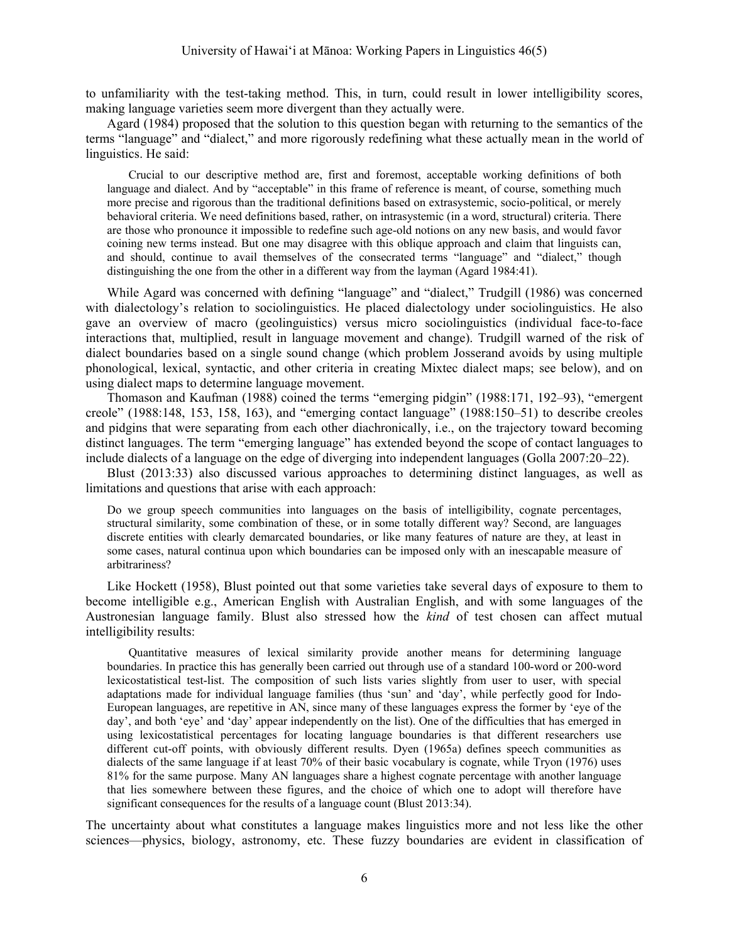to unfamiliarity with the test-taking method. This, in turn, could result in lower intelligibility scores, making language varieties seem more divergent than they actually were.

Agard (1984) proposed that the solution to this question began with returning to the semantics of the terms "language" and "dialect," and more rigorously redefining what these actually mean in the world of linguistics. He said:

Crucial to our descriptive method are, first and foremost, acceptable working definitions of both language and dialect. And by "acceptable" in this frame of reference is meant, of course, something much more precise and rigorous than the traditional definitions based on extrasystemic, socio-political, or merely behavioral criteria. We need definitions based, rather, on intrasystemic (in a word, structural) criteria. There are those who pronounce it impossible to redefine such age-old notions on any new basis, and would favor coining new terms instead. But one may disagree with this oblique approach and claim that linguists can, and should, continue to avail themselves of the consecrated terms "language" and "dialect," though distinguishing the one from the other in a different way from the layman (Agard 1984:41).

While Agard was concerned with defining "language" and "dialect," Trudgill (1986) was concerned with dialectology's relation to sociolinguistics. He placed dialectology under sociolinguistics. He also gave an overview of macro (geolinguistics) versus micro sociolinguistics (individual face-to-face interactions that, multiplied, result in language movement and change). Trudgill warned of the risk of dialect boundaries based on a single sound change (which problem Josserand avoids by using multiple phonological, lexical, syntactic, and other criteria in creating Mixtec dialect maps; see below), and on using dialect maps to determine language movement.

Thomason and Kaufman (1988) coined the terms "emerging pidgin" (1988:171, 192–93), "emergent creole" (1988:148, 153, 158, 163), and "emerging contact language" (1988:150–51) to describe creoles and pidgins that were separating from each other diachronically, i.e., on the trajectory toward becoming distinct languages. The term "emerging language" has extended beyond the scope of contact languages to include dialects of a language on the edge of diverging into independent languages (Golla 2007:20–22).

Blust (2013:33) also discussed various approaches to determining distinct languages, as well as limitations and questions that arise with each approach:

Do we group speech communities into languages on the basis of intelligibility, cognate percentages, structural similarity, some combination of these, or in some totally different way? Second, are languages discrete entities with clearly demarcated boundaries, or like many features of nature are they, at least in some cases, natural continua upon which boundaries can be imposed only with an inescapable measure of arbitrariness?

Like Hockett (1958), Blust pointed out that some varieties take several days of exposure to them to become intelligible e.g., American English with Australian English, and with some languages of the Austronesian language family. Blust also stressed how the *kind* of test chosen can affect mutual intelligibility results:

Quantitative measures of lexical similarity provide another means for determining language boundaries. In practice this has generally been carried out through use of a standard 100-word or 200-word lexicostatistical test-list. The composition of such lists varies slightly from user to user, with special adaptations made for individual language families (thus 'sun' and 'day', while perfectly good for Indo-European languages, are repetitive in AN, since many of these languages express the former by 'eye of the day', and both 'eye' and 'day' appear independently on the list). One of the difficulties that has emerged in using lexicostatistical percentages for locating language boundaries is that different researchers use different cut-off points, with obviously different results. Dyen (1965a) defines speech communities as dialects of the same language if at least 70% of their basic vocabulary is cognate, while Tryon (1976) uses 81% for the same purpose. Many AN languages share a highest cognate percentage with another language that lies somewhere between these figures, and the choice of which one to adopt will therefore have significant consequences for the results of a language count (Blust 2013:34).

The uncertainty about what constitutes a language makes linguistics more and not less like the other sciences—physics, biology, astronomy, etc. These fuzzy boundaries are evident in classification of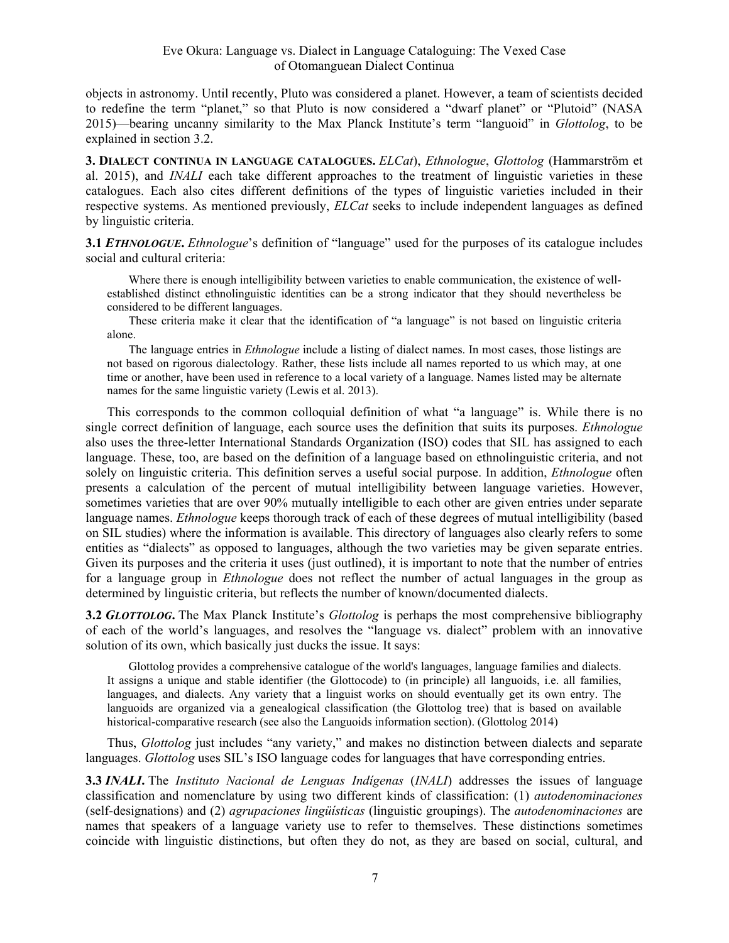#### Eve Okura: Language vs. Dialect in Language Cataloguing: The Vexed Case of Otomanguean Dialect Continua

objects in astronomy. Until recently, Pluto was considered a planet. However, a team of scientists decided to redefine the term "planet," so that Pluto is now considered a "dwarf planet" or "Plutoid" (NASA 2015)—bearing uncanny similarity to the Max Planck Institute's term "languoid" in *Glottolog*, to be explained in section 3.2.

**3. DIALECT CONTINUA IN LANGUAGE CATALOGUES.** *ELCat*), *Ethnologue*, *Glottolog* (Hammarström et al. 2015), and *INALI* each take different approaches to the treatment of linguistic varieties in these catalogues. Each also cites different definitions of the types of linguistic varieties included in their respective systems. As mentioned previously, *ELCat* seeks to include independent languages as defined by linguistic criteria.

**3.1** *ETHNOLOGUE***.** *Ethnologue*'s definition of "language" used for the purposes of its catalogue includes social and cultural criteria:

Where there is enough intelligibility between varieties to enable communication, the existence of wellestablished distinct ethnolinguistic identities can be a strong indicator that they should nevertheless be considered to be different languages.

These criteria make it clear that the identification of "a language" is not based on linguistic criteria alone.

The language entries in *Ethnologue* include a listing of dialect names. In most cases, those listings are not based on rigorous dialectology. Rather, these lists include all names reported to us which may, at one time or another, have been used in reference to a local variety of a language. Names listed may be alternate names for the same linguistic variety (Lewis et al. 2013).

This corresponds to the common colloquial definition of what "a language" is. While there is no single correct definition of language, each source uses the definition that suits its purposes. *Ethnologue* also uses the three-letter International Standards Organization (ISO) codes that SIL has assigned to each language. These, too, are based on the definition of a language based on ethnolinguistic criteria, and not solely on linguistic criteria. This definition serves a useful social purpose. In addition, *Ethnologue* often presents a calculation of the percent of mutual intelligibility between language varieties. However, sometimes varieties that are over 90% mutually intelligible to each other are given entries under separate language names. *Ethnologue* keeps thorough track of each of these degrees of mutual intelligibility (based on SIL studies) where the information is available. This directory of languages also clearly refers to some entities as "dialects" as opposed to languages, although the two varieties may be given separate entries. Given its purposes and the criteria it uses (just outlined), it is important to note that the number of entries for a language group in *Ethnologue* does not reflect the number of actual languages in the group as determined by linguistic criteria, but reflects the number of known/documented dialects.

**3.2** *GLOTTOLOG***.** The Max Planck Institute's *Glottolog* is perhaps the most comprehensive bibliography of each of the world's languages, and resolves the "language vs. dialect" problem with an innovative solution of its own, which basically just ducks the issue. It says:

Glottolog provides a comprehensive catalogue of the world's languages, language families and dialects. It assigns a unique and stable identifier (the Glottocode) to (in principle) all languoids, i.e. all families, languages, and dialects. Any variety that a linguist works on should eventually get its own entry. The languoids are organized via a genealogical classification (the Glottolog tree) that is based on available historical-comparative research (see also the Languoids information section). (Glottolog 2014)

Thus, *Glottolog* just includes "any variety," and makes no distinction between dialects and separate languages. *Glottolog* uses SIL's ISO language codes for languages that have corresponding entries.

**3.3** *INALI***.** The *Instituto Nacional de Lenguas Indígenas* (*INALI*) addresses the issues of language classification and nomenclature by using two different kinds of classification: (1) *autodenominaciones* (self-designations) and (2) *agrupaciones lingüísticas* (linguistic groupings). The *autodenominaciones* are names that speakers of a language variety use to refer to themselves. These distinctions sometimes coincide with linguistic distinctions, but often they do not, as they are based on social, cultural, and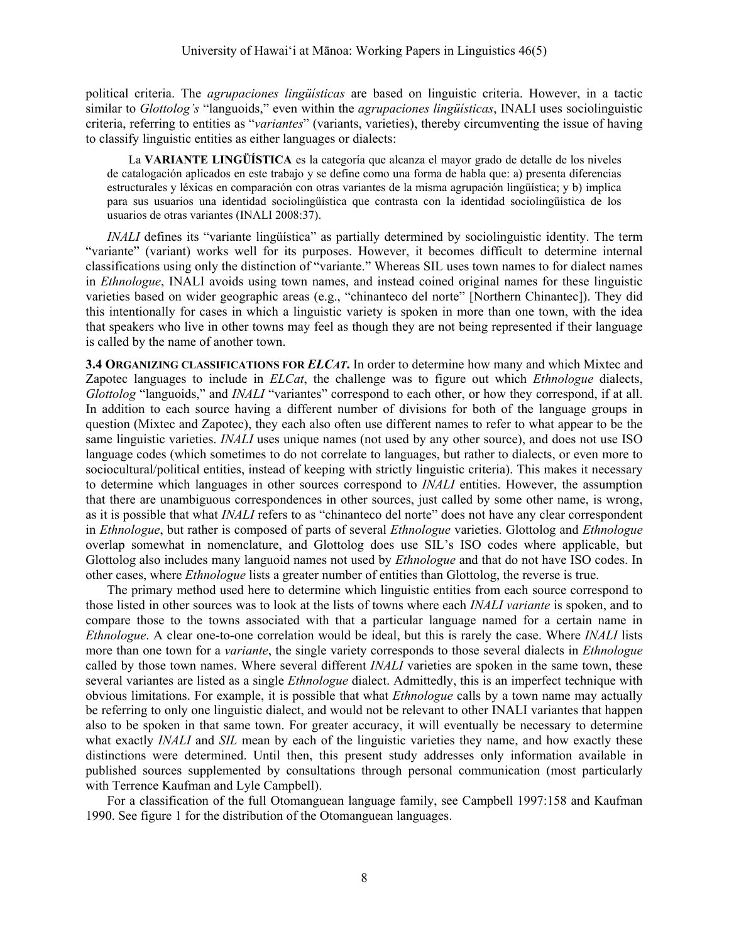political criteria. The *agrupaciones lingüísticas* are based on linguistic criteria. However, in a tactic similar to *Glottolog's* "languoids," even within the *agrupaciones lingüísticas*, INALI uses sociolinguistic criteria, referring to entities as "*variantes*" (variants, varieties), thereby circumventing the issue of having to classify linguistic entities as either languages or dialects:

La **VARIANTE LINGÜÍSTICA** es la categoría que alcanza el mayor grado de detalle de los niveles de catalogación aplicados en este trabajo y se define como una forma de habla que: a) presenta diferencias estructurales y léxicas en comparación con otras variantes de la misma agrupación lingüística; y b) implica para sus usuarios una identidad sociolingüística que contrasta con la identidad sociolingüística de los usuarios de otras variantes (INALI 2008:37).

*INALI* defines its "variante lingüística" as partially determined by sociolinguistic identity. The term "variante" (variant) works well for its purposes. However, it becomes difficult to determine internal classifications using only the distinction of "variante." Whereas SIL uses town names to for dialect names in *Ethnologue*, INALI avoids using town names, and instead coined original names for these linguistic varieties based on wider geographic areas (e.g., "chinanteco del norte" [Northern Chinantec]). They did this intentionally for cases in which a linguistic variety is spoken in more than one town, with the idea that speakers who live in other towns may feel as though they are not being represented if their language is called by the name of another town.

**3.4 ORGANIZING CLASSIFICATIONS FOR** *ELCAT***.** In order to determine how many and which Mixtec and Zapotec languages to include in *ELCat*, the challenge was to figure out which *Ethnologue* dialects, *Glottolog* "languoids," and *INALI* "variantes" correspond to each other, or how they correspond, if at all. In addition to each source having a different number of divisions for both of the language groups in question (Mixtec and Zapotec), they each also often use different names to refer to what appear to be the same linguistic varieties. *INALI* uses unique names (not used by any other source), and does not use ISO language codes (which sometimes to do not correlate to languages, but rather to dialects, or even more to sociocultural/political entities, instead of keeping with strictly linguistic criteria). This makes it necessary to determine which languages in other sources correspond to *INALI* entities. However, the assumption that there are unambiguous correspondences in other sources, just called by some other name, is wrong, as it is possible that what *INALI* refers to as "chinanteco del norte" does not have any clear correspondent in *Ethnologue*, but rather is composed of parts of several *Ethnologue* varieties. Glottolog and *Ethnologue* overlap somewhat in nomenclature, and Glottolog does use SIL's ISO codes where applicable, but Glottolog also includes many languoid names not used by *Ethnologue* and that do not have ISO codes. In other cases, where *Ethnologue* lists a greater number of entities than Glottolog, the reverse is true.

The primary method used here to determine which linguistic entities from each source correspond to those listed in other sources was to look at the lists of towns where each *INALI variante* is spoken, and to compare those to the towns associated with that a particular language named for a certain name in *Ethnologue*. A clear one-to-one correlation would be ideal, but this is rarely the case. Where *INALI* lists more than one town for a *variante*, the single variety corresponds to those several dialects in *Ethnologue* called by those town names. Where several different *INALI* varieties are spoken in the same town, these several variantes are listed as a single *Ethnologue* dialect. Admittedly, this is an imperfect technique with obvious limitations. For example, it is possible that what *Ethnologue* calls by a town name may actually be referring to only one linguistic dialect, and would not be relevant to other INALI variantes that happen also to be spoken in that same town. For greater accuracy, it will eventually be necessary to determine what exactly *INALI* and *SIL* mean by each of the linguistic varieties they name, and how exactly these distinctions were determined. Until then, this present study addresses only information available in published sources supplemented by consultations through personal communication (most particularly with Terrence Kaufman and Lyle Campbell).

For a classification of the full Otomanguean language family, see Campbell 1997:158 and Kaufman 1990. See figure 1 for the distribution of the Otomanguean languages.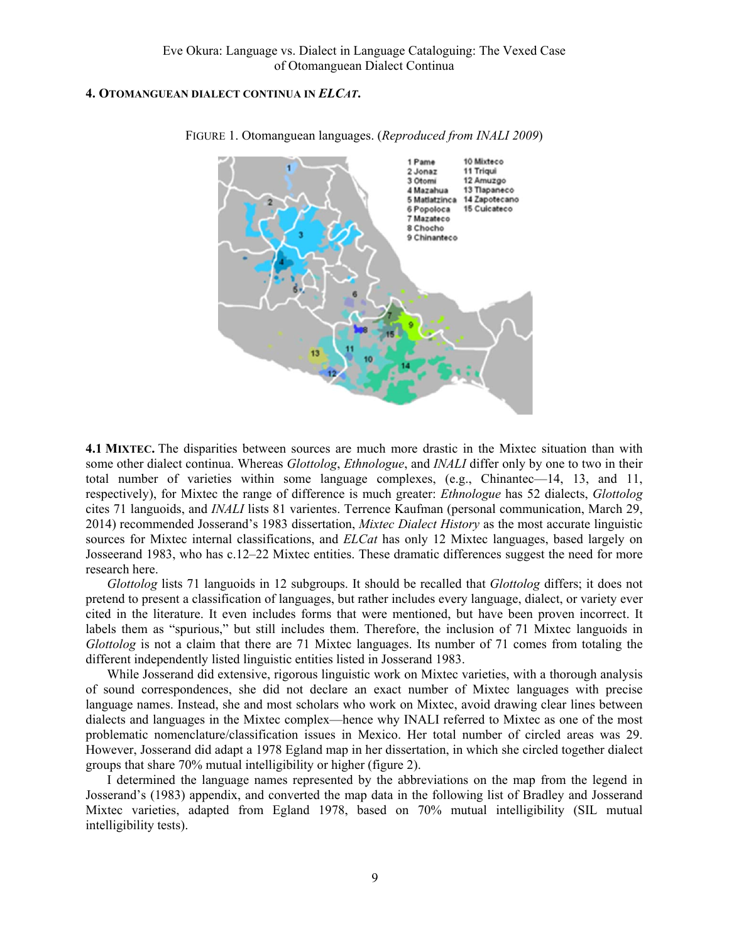#### **4. OTOMANGUEAN DIALECT CONTINUA IN** *ELCAT***.**



FIGURE 1. Otomanguean languages. (*Reproduced from INALI 2009*)

**4.1 MIXTEC.** The disparities between sources are much more drastic in the Mixtec situation than with some other dialect continua. Whereas *Glottolog*, *Ethnologue*, and *INALI* differ only by one to two in their total number of varieties within some language complexes, (e.g., Chinantec—14, 13, and 11, respectively), for Mixtec the range of difference is much greater: *Ethnologue* has 52 dialects, *Glottolog* cites 71 languoids, and *INALI* lists 81 varientes. Terrence Kaufman (personal communication, March 29, 2014) recommended Josserand's 1983 dissertation, *Mixtec Dialect History* as the most accurate linguistic sources for Mixtec internal classifications, and *ELCat* has only 12 Mixtec languages, based largely on Josseerand 1983, who has c.12–22 Mixtec entities. These dramatic differences suggest the need for more research here.

*Glottolog* lists 71 languoids in 12 subgroups. It should be recalled that *Glottolog* differs; it does not pretend to present a classification of languages, but rather includes every language, dialect, or variety ever cited in the literature. It even includes forms that were mentioned, but have been proven incorrect. It labels them as "spurious," but still includes them. Therefore, the inclusion of 71 Mixtec languoids in *Glottolog* is not a claim that there are 71 Mixtec languages. Its number of 71 comes from totaling the different independently listed linguistic entities listed in Josserand 1983.

While Josserand did extensive, rigorous linguistic work on Mixtec varieties, with a thorough analysis of sound correspondences, she did not declare an exact number of Mixtec languages with precise language names. Instead, she and most scholars who work on Mixtec, avoid drawing clear lines between dialects and languages in the Mixtec complex—hence why INALI referred to Mixtec as one of the most problematic nomenclature/classification issues in Mexico. Her total number of circled areas was 29. However, Josserand did adapt a 1978 Egland map in her dissertation, in which she circled together dialect groups that share 70% mutual intelligibility or higher (figure 2).

I determined the language names represented by the abbreviations on the map from the legend in Josserand's (1983) appendix, and converted the map data in the following list of Bradley and Josserand Mixtec varieties, adapted from Egland 1978, based on 70% mutual intelligibility (SIL mutual intelligibility tests).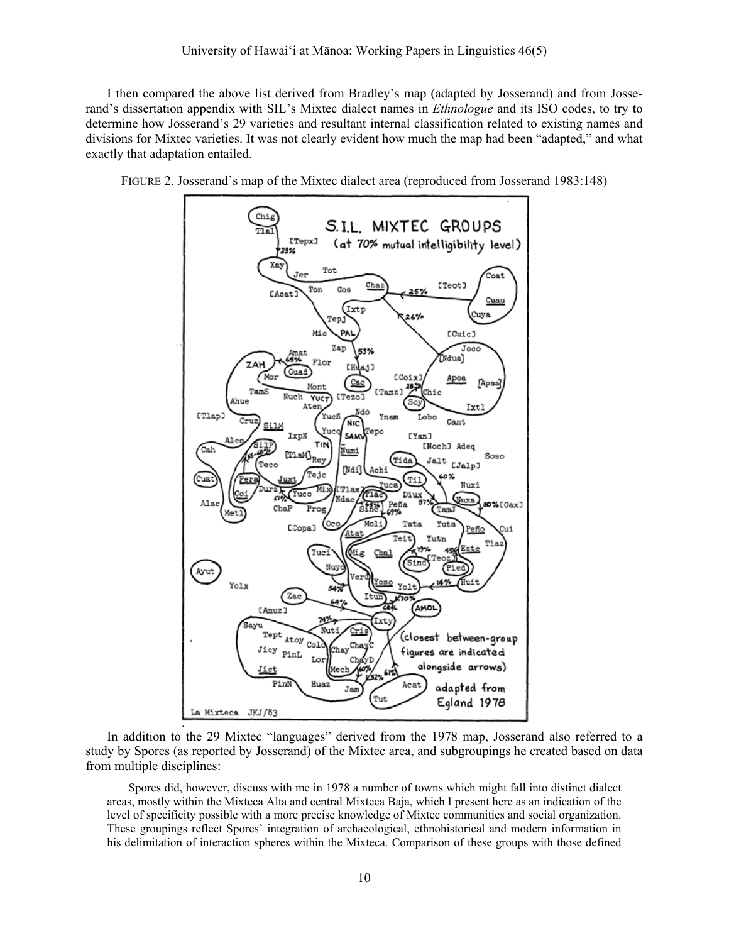I then compared the above list derived from Bradley's map (adapted by Josserand) and from Josserand's dissertation appendix with SIL's Mixtec dialect names in *Ethnologue* and its ISO codes, to try to determine how Josserand's 29 varieties and resultant internal classification related to existing names and divisions for Mixtec varieties. It was not clearly evident how much the map had been "adapted," and what exactly that adaptation entailed.





In addition to the 29 Mixtec "languages" derived from the 1978 map, Josserand also referred to a study by Spores (as reported by Josserand) of the Mixtec area, and subgroupings he created based on data from multiple disciplines:

Spores did, however, discuss with me in 1978 a number of towns which might fall into distinct dialect areas, mostly within the Mixteca Alta and central Mixteca Baja, which I present here as an indication of the level of specificity possible with a more precise knowledge of Mixtec communities and social organization. These groupings reflect Spores' integration of archaeological, ethnohistorical and modern information in his delimitation of interaction spheres within the Mixteca. Comparison of these groups with those defined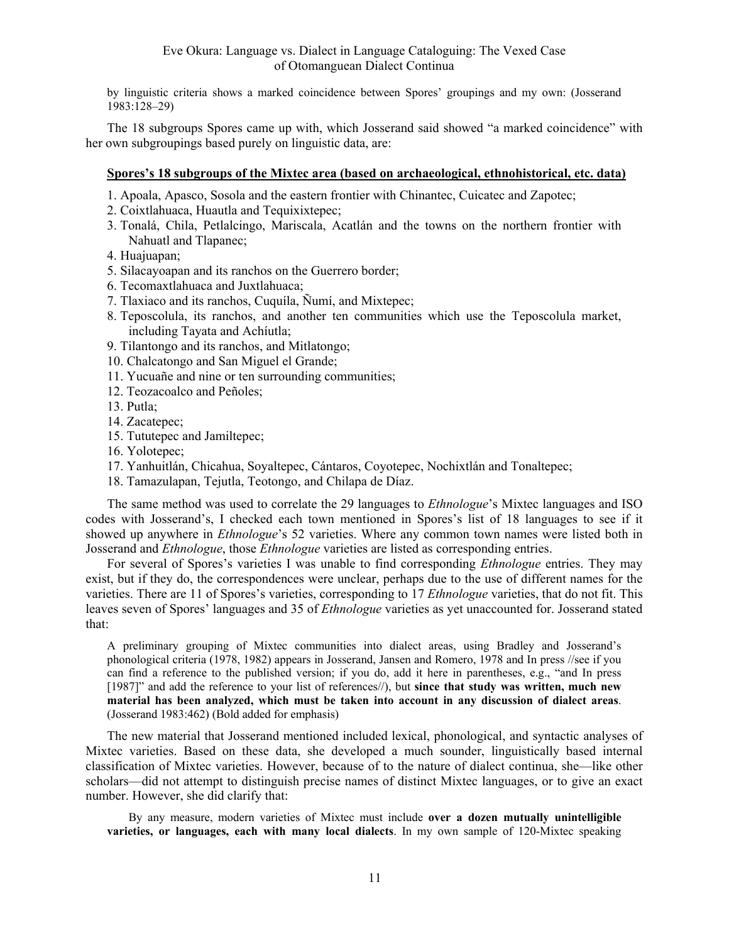by linguistic criteria shows a marked coincidence between Spores' groupings and my own: (Josserand 1983:128–29)

The 18 subgroups Spores came up with, which Josserand said showed "a marked coincidence" with her own subgroupings based purely on linguistic data, are:

#### **Spores's 18 subgroups of the Mixtec area (based on archaeological, ethnohistorical, etc. data)**

- 1. Apoala, Apasco, Sosola and the eastern frontier with Chinantec, Cuicatec and Zapotec;
- 2. Coixtlahuaca, Huautla and Tequixixtepec;
- 3. Tonalá, Chila, Petlalcingo, Mariscala, Acatlán and the towns on the northern frontier with Nahuatl and Tlapanec;
- 4. Huajuapan;
- 5. Silacayoapan and its ranchos on the Guerrero border;
- 6. Tecomaxtlahuaca and Juxtlahuaca;
- 7. Tlaxiaco and its ranchos, Cuquíla, Ñumí, and Mixtepec;
- 8. Teposcolula, its ranchos, and another ten communities which use the Teposcolula market, including Tayata and Achíutla;
- 9. Tilantongo and its ranchos, and Mitlatongo;
- 10. Chalcatongo and San Miguel el Grande;
- 11. Yucuañe and nine or ten surrounding communities;
- 12. Teozacoalco and Peñoles;
- 13. Putla;
- 14. Zacatepec;
- 15. Tututepec and Jamiltepec;
- 16. Yolotepec;
- 17. Yanhuitlán, Chicahua, Soyaltepec, Cántaros, Coyotepec, Nochixtlán and Tonaltepec;
- 18. Tamazulapan, Tejutla, Teotongo, and Chilapa de Díaz.

The same method was used to correlate the 29 languages to *Ethnologue*'s Mixtec languages and ISO codes with Josserand's, I checked each town mentioned in Spores's list of 18 languages to see if it showed up anywhere in *Ethnologue*'s 52 varieties. Where any common town names were listed both in Josserand and *Ethnologue*, those *Ethnologue* varieties are listed as corresponding entries.

For several of Spores's varieties I was unable to find corresponding *Ethnologue* entries. They may exist, but if they do, the correspondences were unclear, perhaps due to the use of different names for the varieties. There are 11 of Spores's varieties, corresponding to 17 *Ethnologue* varieties, that do not fit. This leaves seven of Spores' languages and 35 of *Ethnologue* varieties as yet unaccounted for. Josserand stated that:

A preliminary grouping of Mixtec communities into dialect areas, using Bradley and Josserand's phonological criteria (1978, 1982) appears in Josserand, Jansen and Romero, 1978 and In press //see if you can find a reference to the published version; if you do, add it here in parentheses, e.g., "and In press [1987]" and add the reference to your list of references//), but **since that study was written, much new material has been analyzed, which must be taken into account in any discussion of dialect areas**. (Josserand 1983:462) (Bold added for emphasis)

The new material that Josserand mentioned included lexical, phonological, and syntactic analyses of Mixtec varieties. Based on these data, she developed a much sounder, linguistically based internal classification of Mixtec varieties. However, because of to the nature of dialect continua, she—like other scholars—did not attempt to distinguish precise names of distinct Mixtec languages, or to give an exact number. However, she did clarify that:

By any measure, modern varieties of Mixtec must include **over a dozen mutually unintelligible varieties, or languages, each with many local dialects**. In my own sample of 120-Mixtec speaking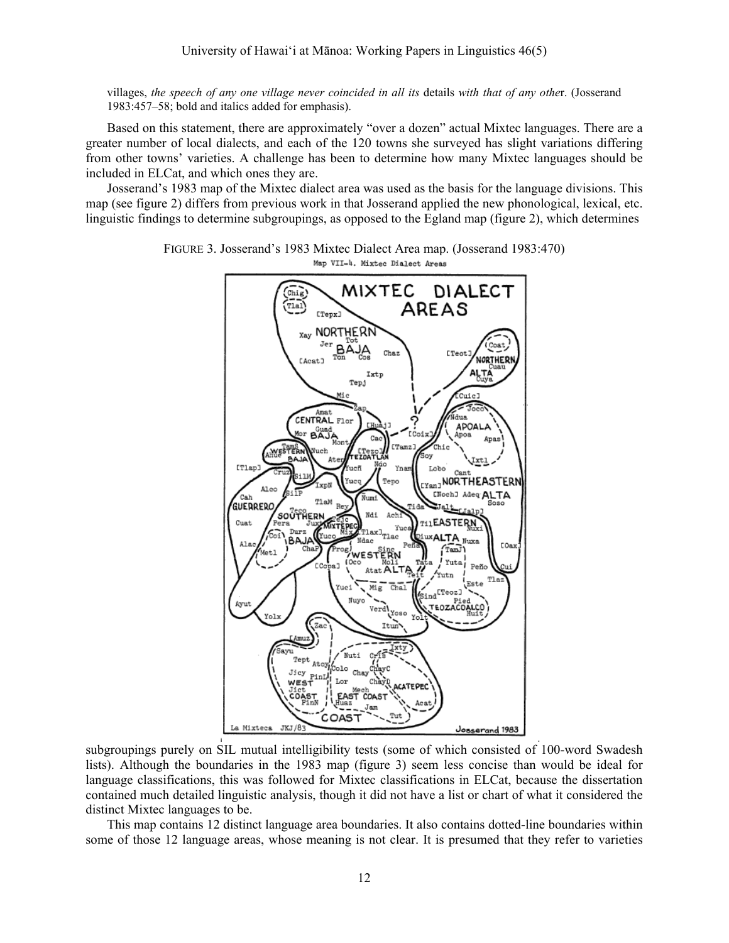villages, *the speech of any one village never coincided in all its* details *with that of any othe*r. (Josserand 1983:457–58; bold and italics added for emphasis).

Based on this statement, there are approximately "over a dozen" actual Mixtec languages. There are a greater number of local dialects, and each of the 120 towns she surveyed has slight variations differing from other towns' varieties. A challenge has been to determine how many Mixtec languages should be included in ELCat, and which ones they are.

Josserand's 1983 map of the Mixtec dialect area was used as the basis for the language divisions. This map (see figure 2) differs from previous work in that Josserand applied the new phonological, lexical, etc. linguistic findings to determine subgroupings, as opposed to the Egland map (figure 2), which determines



FIGURE 3. Josserand's 1983 Mixtec Dialect Area map. (Josserand 1983:470) Map VII-4. Mixtec Dialect Areas

subgroupings purely on SIL mutual intelligibility tests (some of which consisted of 100-word Swadesh lists). Although the boundaries in the 1983 map (figure 3) seem less concise than would be ideal for language classifications, this was followed for Mixtec classifications in ELCat, because the dissertation contained much detailed linguistic analysis, though it did not have a list or chart of what it considered the distinct Mixtec languages to be.

This map contains 12 distinct language area boundaries. It also contains dotted-line boundaries within some of those 12 language areas, whose meaning is not clear. It is presumed that they refer to varieties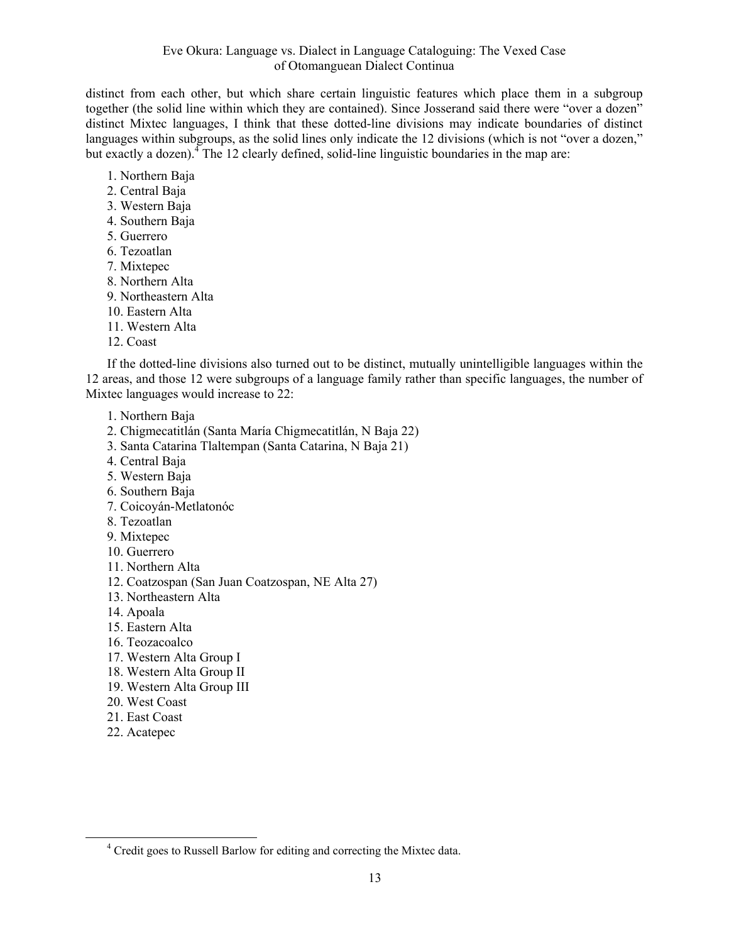distinct from each other, but which share certain linguistic features which place them in a subgroup together (the solid line within which they are contained). Since Josserand said there were "over a dozen" distinct Mixtec languages, I think that these dotted-line divisions may indicate boundaries of distinct languages within subgroups, as the solid lines only indicate the 12 divisions (which is not "over a dozen," but exactly a dozen).<sup>4</sup> The 12 clearly defined, solid-line linguistic boundaries in the map are:

1. Northern Baja 2. Central Baja

- 3. Western Baja
- 4. Southern Baja
- 5. Guerrero
- 6. Tezoatlan
- 7. Mixtepec
- 8. Northern Alta
- 9. Northeastern Alta
- 10. Eastern Alta
- 11. Western Alta
- 12. Coast

If the dotted-line divisions also turned out to be distinct, mutually unintelligible languages within the 12 areas, and those 12 were subgroups of a language family rather than specific languages, the number of Mixtec languages would increase to 22:

- 1. Northern Baja
- 2. Chigmecatitlán (Santa María Chigmecatitlán, N Baja 22)
- 3. Santa Catarina Tlaltempan (Santa Catarina, N Baja 21)
- 4. Central Baja
- 5. Western Baja
- 6. Southern Baja
- 7. Coicoyán-Metlatonóc
- 8. Tezoatlan
- 9. Mixtepec
- 10. Guerrero
- 11. Northern Alta
- 12. Coatzospan (San Juan Coatzospan, NE Alta 27)
- 13. Northeastern Alta
- 14. Apoala
- 15. Eastern Alta
- 16. Teozacoalco
- 17. Western Alta Group I
- 18. Western Alta Group II
- 19. Western Alta Group III
- 20. West Coast
- 21. East Coast
- 22. Acatepec

 $\frac{1}{4}$ <sup>4</sup> Credit goes to Russell Barlow for editing and correcting the Mixtec data.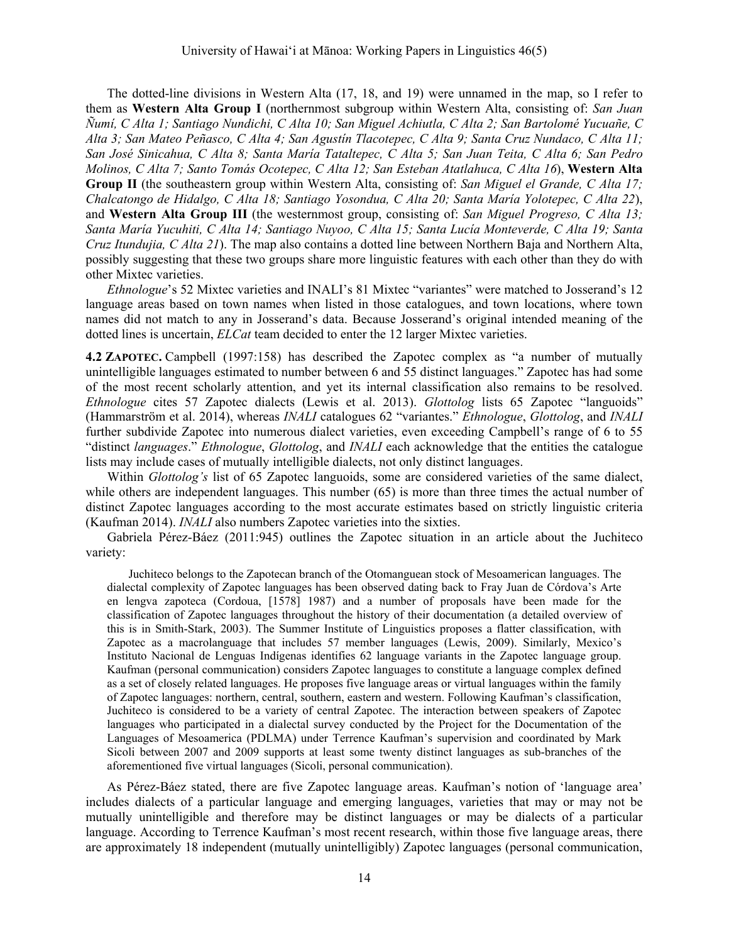The dotted-line divisions in Western Alta (17, 18, and 19) were unnamed in the map, so I refer to them as **Western Alta Group I** (northernmost subgroup within Western Alta, consisting of: *San Juan Ñumí, C Alta 1; Santiago Nundichi, C Alta 10; San Miguel Achiutla, C Alta 2; San Bartolomé Yucuañe, C Alta 3; San Mateo Peñasco, C Alta 4; San Agustín Tlacotepec, C Alta 9; Santa Cruz Nundaco, C Alta 11; San José Sinicahua, C Alta 8; Santa María Tataltepec, C Alta 5; San Juan Teita, C Alta 6; San Pedro Molinos, C Alta 7; Santo Tomás Ocotepec, C Alta 12; San Esteban Atatlahuca, C Alta 16*), **Western Alta Group II** (the southeastern group within Western Alta, consisting of: *San Miguel el Grande, C Alta 17; Chalcatongo de Hidalgo, C Alta 18; Santiago Yosondua, C Alta 20; Santa María Yolotepec, C Alta 22*), and **Western Alta Group III** (the westernmost group, consisting of: *San Miguel Progreso, C Alta 13; Santa María Yucuhiti, C Alta 14; Santiago Nuyoo, C Alta 15; Santa Lucía Monteverde, C Alta 19; Santa Cruz Itundujia, C Alta 21*). The map also contains a dotted line between Northern Baja and Northern Alta, possibly suggesting that these two groups share more linguistic features with each other than they do with other Mixtec varieties.

*Ethnologue*'s 52 Mixtec varieties and INALI's 81 Mixtec "variantes" were matched to Josserand's 12 language areas based on town names when listed in those catalogues, and town locations, where town names did not match to any in Josserand's data. Because Josserand's original intended meaning of the dotted lines is uncertain, *ELCat* team decided to enter the 12 larger Mixtec varieties.

**4.2 ZAPOTEC.** Campbell (1997:158) has described the Zapotec complex as "a number of mutually unintelligible languages estimated to number between 6 and 55 distinct languages." Zapotec has had some of the most recent scholarly attention, and yet its internal classification also remains to be resolved. *Ethnologue* cites 57 Zapotec dialects (Lewis et al. 2013). *Glottolog* lists 65 Zapotec "languoids" (Hammarström et al. 2014), whereas *INALI* catalogues 62 "variantes." *Ethnologue*, *Glottolog*, and *INALI* further subdivide Zapotec into numerous dialect varieties, even exceeding Campbell's range of 6 to 55 "distinct *languages*." *Ethnologue*, *Glottolog*, and *INALI* each acknowledge that the entities the catalogue lists may include cases of mutually intelligible dialects, not only distinct languages.

Within *Glottolog's* list of 65 Zapotec languoids, some are considered varieties of the same dialect, while others are independent languages. This number (65) is more than three times the actual number of distinct Zapotec languages according to the most accurate estimates based on strictly linguistic criteria (Kaufman 2014). *INALI* also numbers Zapotec varieties into the sixties.

Gabriela Pérez-Báez (2011:945) outlines the Zapotec situation in an article about the Juchiteco variety:

Juchiteco belongs to the Zapotecan branch of the Otomanguean stock of Mesoamerican languages. The dialectal complexity of Zapotec languages has been observed dating back to Fray Juan de Córdova's Arte en lengva zapoteca (Cordoua, [1578] 1987) and a number of proposals have been made for the classification of Zapotec languages throughout the history of their documentation (a detailed overview of this is in Smith-Stark, 2003). The Summer Institute of Linguistics proposes a flatter classification, with Zapotec as a macrolanguage that includes 57 member languages (Lewis, 2009). Similarly, Mexico's Instituto Nacional de Lenguas Indígenas identifies 62 language variants in the Zapotec language group. Kaufman (personal communication) considers Zapotec languages to constitute a language complex defined as a set of closely related languages. He proposes five language areas or virtual languages within the family of Zapotec languages: northern, central, southern, eastern and western. Following Kaufman's classification, Juchiteco is considered to be a variety of central Zapotec. The interaction between speakers of Zapotec languages who participated in a dialectal survey conducted by the Project for the Documentation of the Languages of Mesoamerica (PDLMA) under Terrence Kaufman's supervision and coordinated by Mark Sicoli between 2007 and 2009 supports at least some twenty distinct languages as sub-branches of the aforementioned five virtual languages (Sicoli, personal communication).

As Pérez-Báez stated, there are five Zapotec language areas. Kaufman's notion of 'language area' includes dialects of a particular language and emerging languages, varieties that may or may not be mutually unintelligible and therefore may be distinct languages or may be dialects of a particular language. According to Terrence Kaufman's most recent research, within those five language areas, there are approximately 18 independent (mutually unintelligibly) Zapotec languages (personal communication,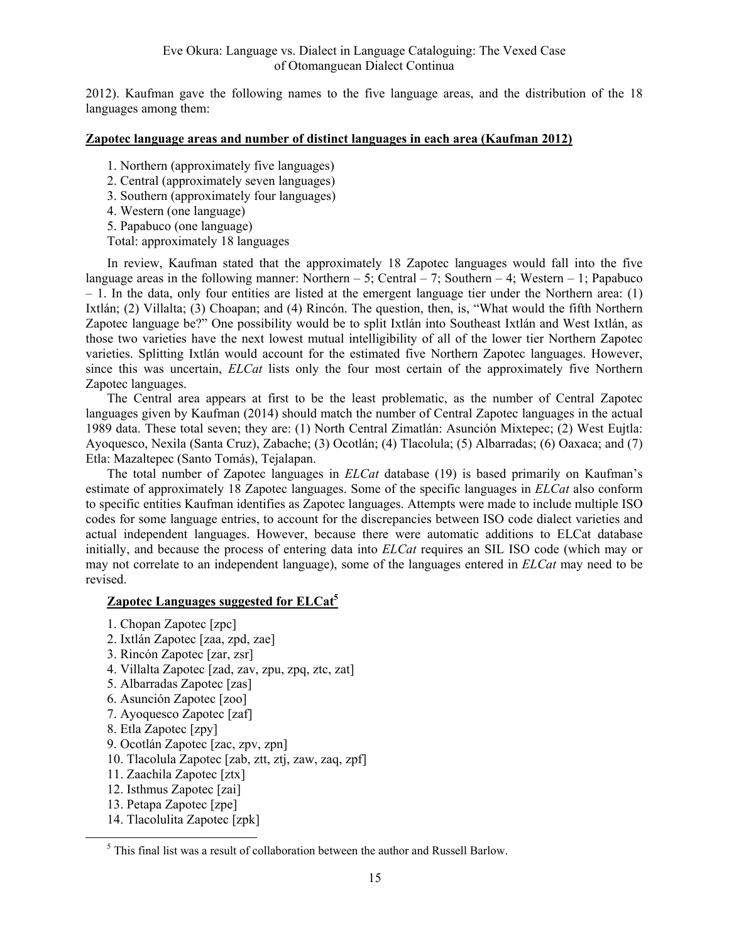2012). Kaufman gave the following names to the five language areas, and the distribution of the 18 languages among them:

#### **Zapotec language areas and number of distinct languages in each area (Kaufman 2012)**

- 1. Northern (approximately five languages)
- 2. Central (approximately seven languages)
- 3. Southern (approximately four languages)
- 4. Western (one language)
- 5. Papabuco (one language)
- Total: approximately 18 languages

In review, Kaufman stated that the approximately 18 Zapotec languages would fall into the five language areas in the following manner: Northern – 5; Central – 7; Southern – 4; Western – 1; Papabuco  $-1$ . In the data, only four entities are listed at the emergent language tier under the Northern area: (1) Ixtlán; (2) Villalta; (3) Choapan; and (4) Rincón. The question, then, is, "What would the fifth Northern Zapotec language be?" One possibility would be to split Ixtlán into Southeast Ixtlán and West Ixtlán, as those two varieties have the next lowest mutual intelligibility of all of the lower tier Northern Zapotec varieties. Splitting Ixtlán would account for the estimated five Northern Zapotec languages. However, since this was uncertain, *ELCat* lists only the four most certain of the approximately five Northern Zapotec languages.

The Central area appears at first to be the least problematic, as the number of Central Zapotec languages given by Kaufman (2014) should match the number of Central Zapotec languages in the actual 1989 data. These total seven; they are: (1) North Central Zimatlán: Asunción Mixtepec; (2) West Eujtla: Ayoquesco, Nexila (Santa Cruz), Zabache; (3) Ocotlán; (4) Tlacolula; (5) Albarradas; (6) Oaxaca; and (7) Etla: Mazaltepec (Santo Tomás), Tejalapan.

The total number of Zapotec languages in *ELCat* database (19) is based primarily on Kaufman's estimate of approximately 18 Zapotec languages. Some of the specific languages in *ELCat* also conform to specific entities Kaufman identifies as Zapotec languages. Attempts were made to include multiple ISO codes for some language entries, to account for the discrepancies between ISO code dialect varieties and actual independent languages. However, because there were automatic additions to ELCat database initially, and because the process of entering data into *ELCat* requires an SIL ISO code (which may or may not correlate to an independent language), some of the languages entered in *ELCat* may need to be revised.

#### **Zapotec Languages suggested for ELCat<sup>5</sup>**

- 1. Chopan Zapotec [zpc]
- 2. Ixtlán Zapotec [zaa, zpd, zae]
- 3. Rincón Zapotec [zar, zsr]
- 4. Villalta Zapotec [zad, zav, zpu, zpq, ztc, zat]
- 5. Albarradas Zapotec [zas]
- 6. Asunción Zapotec [zoo]
- 7. Ayoquesco Zapotec [zaf]
- 8. Etla Zapotec [zpy]
- 9. Ocotlán Zapotec [zac, zpv, zpn]
- 10. Tlacolula Zapotec [zab, ztt, ztj, zaw, zaq, zpf]
- 11. Zaachila Zapotec [ztx]
- 12. Isthmus Zapotec [zai]
- 13. Petapa Zapotec [zpe]
- 14. Tlacolulita Zapotec [zpk]

 $rac{1}{5}$  $5$  This final list was a result of collaboration between the author and Russell Barlow.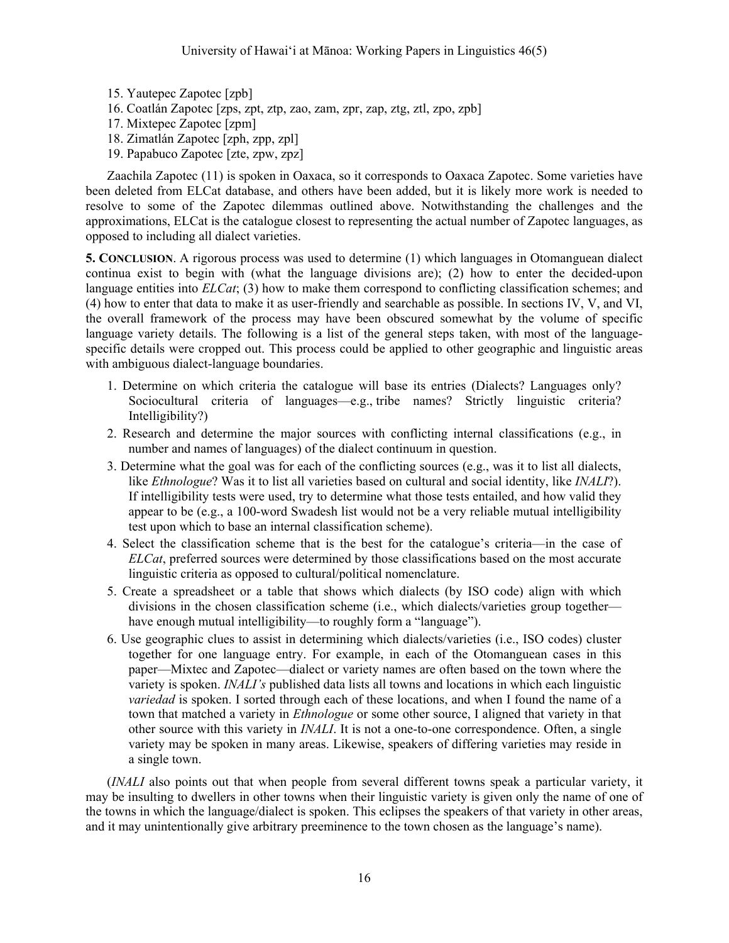- 15. Yautepec Zapotec [zpb] 16. Coatlán Zapotec [zps, zpt, ztp, zao, zam, zpr, zap, ztg, ztl, zpo, zpb] 17. Mixtepec Zapotec [zpm] 18. Zimatlán Zapotec [zph, zpp, zpl]
- 19. Papabuco Zapotec [zte, zpw, zpz]

Zaachila Zapotec (11) is spoken in Oaxaca, so it corresponds to Oaxaca Zapotec. Some varieties have been deleted from ELCat database, and others have been added, but it is likely more work is needed to resolve to some of the Zapotec dilemmas outlined above. Notwithstanding the challenges and the approximations, ELCat is the catalogue closest to representing the actual number of Zapotec languages, as opposed to including all dialect varieties.

**5. CONCLUSION**. A rigorous process was used to determine (1) which languages in Otomanguean dialect continua exist to begin with (what the language divisions are); (2) how to enter the decided-upon language entities into *ELCat*; (3) how to make them correspond to conflicting classification schemes; and (4) how to enter that data to make it as user-friendly and searchable as possible. In sections IV, V, and VI, the overall framework of the process may have been obscured somewhat by the volume of specific language variety details. The following is a list of the general steps taken, with most of the languagespecific details were cropped out. This process could be applied to other geographic and linguistic areas with ambiguous dialect-language boundaries.

- 1. Determine on which criteria the catalogue will base its entries (Dialects? Languages only? Sociocultural criteria of languages—e.g., tribe names? Strictly linguistic criteria? Intelligibility?)
- 2. Research and determine the major sources with conflicting internal classifications (e.g., in number and names of languages) of the dialect continuum in question.
- 3. Determine what the goal was for each of the conflicting sources (e.g., was it to list all dialects, like *Ethnologue*? Was it to list all varieties based on cultural and social identity, like *INALI*?). If intelligibility tests were used, try to determine what those tests entailed, and how valid they appear to be (e.g., a 100-word Swadesh list would not be a very reliable mutual intelligibility test upon which to base an internal classification scheme).
- 4. Select the classification scheme that is the best for the catalogue's criteria—in the case of *ELCat*, preferred sources were determined by those classifications based on the most accurate linguistic criteria as opposed to cultural/political nomenclature.
- 5. Create a spreadsheet or a table that shows which dialects (by ISO code) align with which divisions in the chosen classification scheme (i.e., which dialects/varieties group together have enough mutual intelligibility—to roughly form a "language").
- 6. Use geographic clues to assist in determining which dialects/varieties (i.e., ISO codes) cluster together for one language entry. For example, in each of the Otomanguean cases in this paper—Mixtec and Zapotec—dialect or variety names are often based on the town where the variety is spoken. *INALI's* published data lists all towns and locations in which each linguistic *variedad* is spoken. I sorted through each of these locations, and when I found the name of a town that matched a variety in *Ethnologue* or some other source, I aligned that variety in that other source with this variety in *INALI*. It is not a one-to-one correspondence. Often, a single variety may be spoken in many areas. Likewise, speakers of differing varieties may reside in a single town.

(*INALI* also points out that when people from several different towns speak a particular variety, it may be insulting to dwellers in other towns when their linguistic variety is given only the name of one of the towns in which the language/dialect is spoken. This eclipses the speakers of that variety in other areas, and it may unintentionally give arbitrary preeminence to the town chosen as the language's name).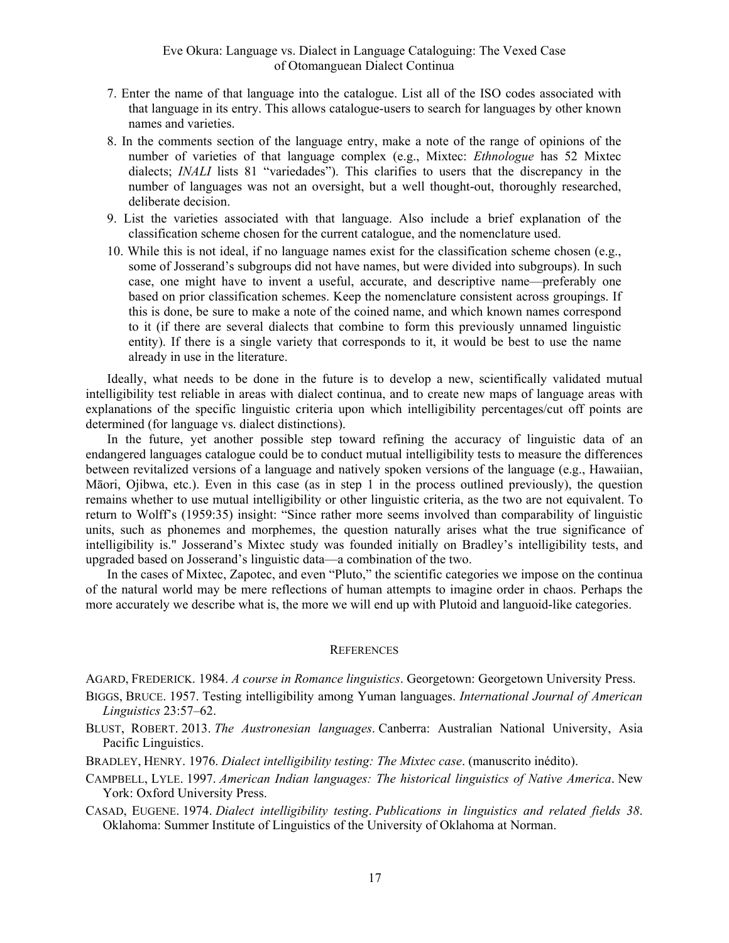- 7. Enter the name of that language into the catalogue. List all of the ISO codes associated with that language in its entry. This allows catalogue-users to search for languages by other known names and varieties.
- 8. In the comments section of the language entry, make a note of the range of opinions of the number of varieties of that language complex (e.g., Mixtec: *Ethnologue* has 52 Mixtec dialects; *INALI* lists 81 "variedades"). This clarifies to users that the discrepancy in the number of languages was not an oversight, but a well thought-out, thoroughly researched, deliberate decision.
- 9. List the varieties associated with that language. Also include a brief explanation of the classification scheme chosen for the current catalogue, and the nomenclature used.
- 10. While this is not ideal, if no language names exist for the classification scheme chosen (e.g., some of Josserand's subgroups did not have names, but were divided into subgroups). In such case, one might have to invent a useful, accurate, and descriptive name—preferably one based on prior classification schemes. Keep the nomenclature consistent across groupings. If this is done, be sure to make a note of the coined name, and which known names correspond to it (if there are several dialects that combine to form this previously unnamed linguistic entity). If there is a single variety that corresponds to it, it would be best to use the name already in use in the literature.

Ideally, what needs to be done in the future is to develop a new, scientifically validated mutual intelligibility test reliable in areas with dialect continua, and to create new maps of language areas with explanations of the specific linguistic criteria upon which intelligibility percentages/cut off points are determined (for language vs. dialect distinctions).

In the future, yet another possible step toward refining the accuracy of linguistic data of an endangered languages catalogue could be to conduct mutual intelligibility tests to measure the differences between revitalized versions of a language and natively spoken versions of the language (e.g., Hawaiian, Māori, Ojibwa, etc.). Even in this case (as in step 1 in the process outlined previously), the question remains whether to use mutual intelligibility or other linguistic criteria, as the two are not equivalent. To return to Wolff's (1959:35) insight: "Since rather more seems involved than comparability of linguistic units, such as phonemes and morphemes, the question naturally arises what the true significance of intelligibility is." Josserand's Mixtec study was founded initially on Bradley's intelligibility tests, and upgraded based on Josserand's linguistic data—a combination of the two.

In the cases of Mixtec, Zapotec, and even "Pluto," the scientific categories we impose on the continua of the natural world may be mere reflections of human attempts to imagine order in chaos. Perhaps the more accurately we describe what is, the more we will end up with Plutoid and languoid-like categories.

#### **REFERENCES**

AGARD, FREDERICK. 1984. *A course in Romance linguistics*. Georgetown: Georgetown University Press.

BIGGS, BRUCE. 1957. Testing intelligibility among Yuman languages. *International Journal of American Linguistics* 23:57–62.

BLUST, ROBERT. 2013. *The Austronesian languages*. Canberra: Australian National University, Asia Pacific Linguistics.

BRADLEY, HENRY. 1976. *Dialect intelligibility testing: The Mixtec case*. (manuscrito inédito).

CAMPBELL, LYLE. 1997. *American Indian languages: The historical linguistics of Native America*. New York: Oxford University Press.

CASAD, EUGENE. 1974. *Dialect intelligibility testing*. *Publications in linguistics and related fields 38*. Oklahoma: Summer Institute of Linguistics of the University of Oklahoma at Norman.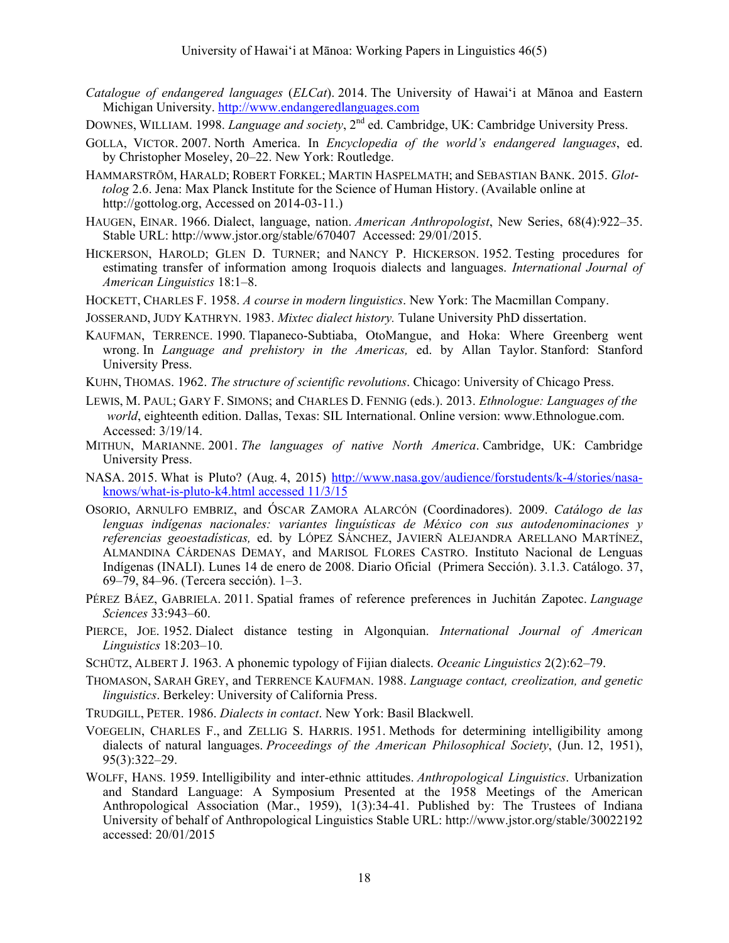- *Catalogue of endangered languages* (*ELCat*). 2014. The University of Hawai'i at Mānoa and Eastern Michigan University. http://www.endangeredlanguages.com
- DOWNES, WILLIAM. 1998. *Language and society*, 2<sup>nd</sup> ed. Cambridge, UK: Cambridge University Press.
- GOLLA, VICTOR. 2007. North America. In *Encyclopedia of the world's endangered languages*, ed. by Christopher Moseley, 20–22. New York: Routledge.
- HAMMARSTRÖM, HARALD; ROBERT FORKEL; MARTIN HASPELMATH; and SEBASTIAN BANK. 2015. *Glot tolog* 2.6. Jena: Max Planck Institute for the Science of Human History. (Available online at http://gottolog.org, Accessed on 2014-03-11.)
- HAUGEN, EINAR. 1966. Dialect, language, nation. *American Anthropologist*, New Series, 68(4):922–35. Stable URL: http://www.jstor.org/stable/670407 Accessed: 29/01/2015.
- HICKERSON, HAROLD; GLEN D. TURNER; and NANCY P. HICKERSON. 1952. Testing procedures for estimating transfer of information among Iroquois dialects and languages. *International Journal of American Linguistics* 18:1–8.
- HOCKETT, CHARLES F. 1958. *A course in modern linguistics*. New York: The Macmillan Company.

JOSSERAND, JUDY KATHRYN. 1983. *Mixtec dialect history.* Tulane University PhD dissertation.

- KAUFMAN, TERRENCE. 1990. Tlapaneco-Subtiaba, OtoMangue, and Hoka: Where Greenberg went wrong. In *Language and prehistory in the Americas,* ed. by Allan Taylor. Stanford: Stanford University Press.
- KUHN, THOMAS. 1962. *The structure of scientific revolutions*. Chicago: University of Chicago Press.
- LEWIS, M. PAUL; GARY F. SIMONS; and CHARLES D. FENNIG (eds.). 2013. *Ethnologue: Languages of the world*, eighteenth edition. Dallas, Texas: SIL International. Online version: www.Ethnologue.com. Accessed: 3/19/14.
- MITHUN, MARIANNE. 2001. *The languages of native North America*. Cambridge, UK: Cambridge University Press.
- NASA. 2015. What is Pluto? (Aug. 4, 2015) http://www.nasa.gov/audience/forstudents/k-4/stories/nasaknows/what-is-pluto-k4.html accessed 11/3/15
- OSORIO, ARNULFO EMBRIZ, and ÓSCAR ZAMORA ALARCÓN (Coordinadores). 2009. *Catálogo de las lenguas indígenas nacionales: variantes linguísticas de México con sus autodenominaciones y referencias geoestadísticas,* ed. by LÓPEZ SÁNCHEZ, JAVIERÑ ALEJANDRA ARELLANO MARTÍNEZ, ALMANDINA CÁRDENAS DEMAY, and MARISOL FLORES CASTRO. Instituto Nacional de Lenguas Indígenas (INALI). Lunes 14 de enero de 2008. Diario Oficial (Primera Sección). 3.1.3. Catálogo. 37, 69–79, 84–96. (Tercera sección). 1–3.
- PÉREZ BÁEZ, GABRIELA. 2011. Spatial frames of reference preferences in Juchitán Zapotec. *Language Sciences* 33:943–60.
- PIERCE, JOE. 1952. Dialect distance testing in Algonquian. *International Journal of American Linguistics* 18:203–10.
- SCHÜTZ, ALBERT J. 1963. A phonemic typology of Fijian dialects. *Oceanic Linguistics* 2(2):62–79.
- THOMASON, SARAH GREY, and TERRENCE KAUFMAN. 1988. *Language contact, creolization, and genetic linguistics*. Berkeley: University of California Press.
- TRUDGILL, PETER. 1986. *Dialects in contact*. New York: Basil Blackwell.
- VOEGELIN, CHARLES F., and ZELLIG S. HARRIS. 1951. Methods for determining intelligibility among dialects of natural languages. *Proceedings of the American Philosophical Society*, (Jun. 12, 1951), 95(3):322–29.
- WOLFF, HANS. 1959. Intelligibility and inter-ethnic attitudes. *Anthropological Linguistics*. Urbanization and Standard Language: A Symposium Presented at the 1958 Meetings of the American Anthropological Association (Mar., 1959), 1(3):34-41. Published by: The Trustees of Indiana University of behalf of Anthropological Linguistics Stable URL: http://www.jstor.org/stable/30022192 accessed: 20/01/2015